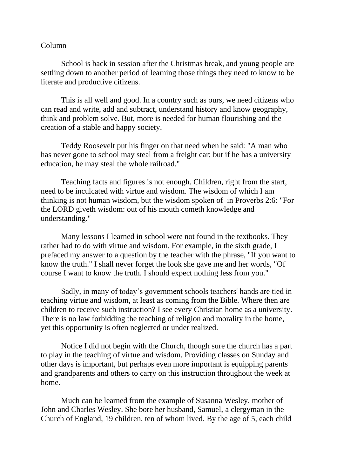## Column

School is back in session after the Christmas break, and young people are settling down to another period of learning those things they need to know to be literate and productive citizens.

This is all well and good. In a country such as ours, we need citizens who can read and write, add and subtract, understand history and know geography, think and problem solve. But, more is needed for human flourishing and the creation of a stable and happy society.

Teddy Roosevelt put his finger on that need when he said: "A man who has never gone to school may steal from a freight car; but if he has a university education, he may steal the whole railroad."

Teaching facts and figures is not enough. Children, right from the start, need to be inculcated with virtue and wisdom. The wisdom of which I am thinking is not human wisdom, but the wisdom spoken of in Proverbs 2:6: "For the LORD giveth wisdom: out of his mouth cometh knowledge and understanding."

Many lessons I learned in school were not found in the textbooks. They rather had to do with virtue and wisdom. For example, in the sixth grade, I prefaced my answer to a question by the teacher with the phrase, "If you want to know the truth." I shall never forget the look she gave me and her words, "Of course I want to know the truth. I should expect nothing less from you."

Sadly, in many of today's government schools teachers' hands are tied in teaching virtue and wisdom, at least as coming from the Bible. Where then are children to receive such instruction? I see every Christian home as a university. There is no law forbidding the teaching of religion and morality in the home, yet this opportunity is often neglected or under realized.

Notice I did not begin with the Church, though sure the church has a part to play in the teaching of virtue and wisdom. Providing classes on Sunday and other days is important, but perhaps even more important is equipping parents and grandparents and others to carry on this instruction throughout the week at home.

Much can be learned from the example of Susanna Wesley, mother of John and Charles Wesley. She bore her husband, Samuel, a clergyman in the Church of England, 19 children, ten of whom lived. By the age of 5, each child